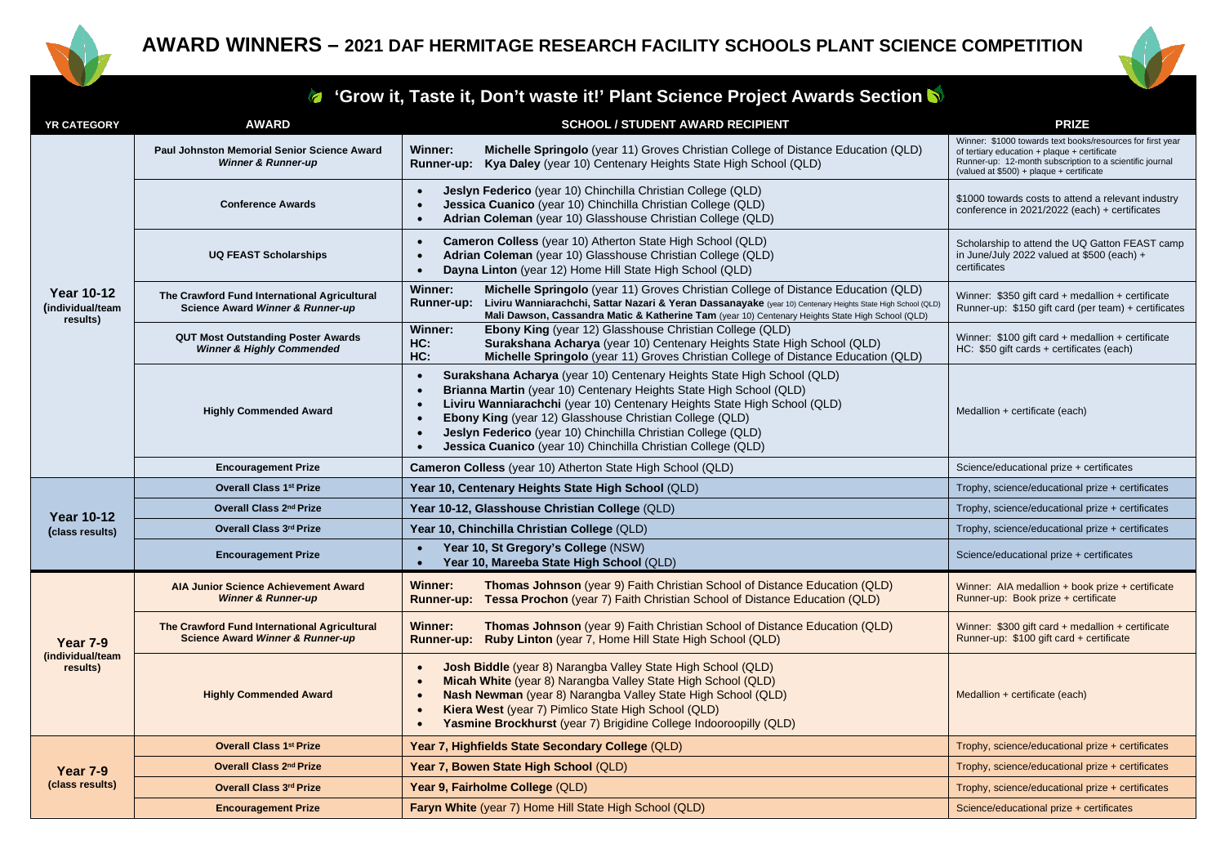



## **'Grow it, Taste it, Don't waste it!' Plant Science Project Awards Section**

| <b>YR CATEGORY</b>                                | <b>AWARD</b>                                                                                | <b>SCHOOL / STUDENT AWARD RECIPIENT</b>                                                                                                                                                                                                                                                                                                                                                                                                       | <b>PRIZE</b>                                                                                                                                                                                                       |
|---------------------------------------------------|---------------------------------------------------------------------------------------------|-----------------------------------------------------------------------------------------------------------------------------------------------------------------------------------------------------------------------------------------------------------------------------------------------------------------------------------------------------------------------------------------------------------------------------------------------|--------------------------------------------------------------------------------------------------------------------------------------------------------------------------------------------------------------------|
| <b>Year 10-12</b><br>(individual/team<br>results) | Paul Johnston Memorial Senior Science Award<br><b>Winner &amp; Runner-up</b>                | <b>Winner:</b><br><b>Michelle Springolo</b> (year 11) Groves Christian College of Distance Education (QLD)<br>Runner-up: Kya Daley (year 10) Centenary Heights State High School (QLD)                                                                                                                                                                                                                                                        | Winner: \$1000 towards text books/resources for first year<br>of tertiary education + plaque + certificate<br>Runner-up: 12-month subscription to a scientific journal<br>(valued at \$500) + plaque + certificate |
|                                                   | <b>Conference Awards</b>                                                                    | Jeslyn Federico (year 10) Chinchilla Christian College (QLD)<br>Jessica Cuanico (year 10) Chinchilla Christian College (QLD)<br>Adrian Coleman (year 10) Glasshouse Christian College (QLD)                                                                                                                                                                                                                                                   | \$1000 towards costs to attend a relevant industry<br>conference in 2021/2022 (each) + certificates                                                                                                                |
|                                                   | <b>UQ FEAST Scholarships</b>                                                                | Cameron Colless (year 10) Atherton State High School (QLD)<br>Adrian Coleman (year 10) Glasshouse Christian College (QLD)<br>$\bullet$<br>Dayna Linton (year 12) Home Hill State High School (QLD)<br>$\bullet$                                                                                                                                                                                                                               | Scholarship to attend the UQ Gatton FEAST camp<br>in June/July 2022 valued at \$500 (each) +<br>certificates                                                                                                       |
|                                                   | The Crawford Fund International Agricultural<br>Science Award Winner & Runner-up            | Winner:<br>Michelle Springolo (year 11) Groves Christian College of Distance Education (QLD)<br>Liviru Wanniarachchi, Sattar Nazari & Yeran Dassanayake (year 10) Centenary Heights State High School (QLD)<br><b>Runner-up:</b><br>Mali Dawson, Cassandra Matic & Katherine Tam (year 10) Centenary Heights State High School (QLD)                                                                                                          | Winner: \$350 gift card + medallion + certificate<br>Runner-up: \$150 gift card (per team) + certificates                                                                                                          |
|                                                   | <b>QUT Most Outstanding Poster Awards</b><br><b>Winner &amp; Highly Commended</b>           | Winner:<br><b>Ebony King</b> (year 12) Glasshouse Christian College (QLD)<br>HC:<br>Surakshana Acharya (year 10) Centenary Heights State High School (QLD)<br>HC:<br>Michelle Springolo (year 11) Groves Christian College of Distance Education (QLD)                                                                                                                                                                                        | Winner: $$100$ gift card + medallion + certificate<br>HC: \$50 gift cards + certificates (each)                                                                                                                    |
|                                                   | <b>Highly Commended Award</b>                                                               | Surakshana Acharya (year 10) Centenary Heights State High School (QLD)<br>$\bullet$<br>Brianna Martin (year 10) Centenary Heights State High School (QLD)<br>$\bullet$<br>Liviru Wanniarachchi (year 10) Centenary Heights State High School (QLD)<br>Ebony King (year 12) Glasshouse Christian College (QLD)<br>Jeslyn Federico (year 10) Chinchilla Christian College (QLD)<br>Jessica Cuanico (year 10) Chinchilla Christian College (QLD) | Medallion + certificate (each)                                                                                                                                                                                     |
|                                                   | <b>Encouragement Prize</b>                                                                  | <b>Cameron Colless</b> (year 10) Atherton State High School (QLD)                                                                                                                                                                                                                                                                                                                                                                             | Science/educational prize + certificates                                                                                                                                                                           |
|                                                   | <b>Overall Class 1st Prize</b>                                                              | Year 10, Centenary Heights State High School (QLD)                                                                                                                                                                                                                                                                                                                                                                                            | Trophy, science/educational prize + certificates                                                                                                                                                                   |
| <b>Year 10-12</b>                                 | Overall Class 2 <sup>nd</sup> Prize                                                         | Year 10-12, Glasshouse Christian College (QLD)                                                                                                                                                                                                                                                                                                                                                                                                | Trophy, science/educational prize + certificates                                                                                                                                                                   |
| (class results)                                   | Overall Class 3rd Prize                                                                     | Year 10, Chinchilla Christian College (QLD)                                                                                                                                                                                                                                                                                                                                                                                                   | Trophy, science/educational prize + certificates                                                                                                                                                                   |
|                                                   | <b>Encouragement Prize</b>                                                                  | Year 10, St Gregory's College (NSW)<br>Year 10, Mareeba State High School (QLD)                                                                                                                                                                                                                                                                                                                                                               | Science/educational prize + certificates                                                                                                                                                                           |
| <b>Year 7-9</b><br>(individual/team<br>results)   | <b>AIA Junior Science Achievement Award</b><br><b>Winner &amp; Runner-up</b>                | Winner:<br>Thomas Johnson (year 9) Faith Christian School of Distance Education (QLD)<br><b>Runner-up: Tessa Prochon</b> (year 7) Faith Christian School of Distance Education (QLD)                                                                                                                                                                                                                                                          | Winner: AIA medallion + book prize + certificate<br>Runner-up: Book prize + certificate                                                                                                                            |
|                                                   | The Crawford Fund International Agricultural<br><b>Science Award Winner &amp; Runner-up</b> | <b>Winner:</b><br>Thomas Johnson (year 9) Faith Christian School of Distance Education (QLD)<br>Ruby Linton (year 7, Home Hill State High School (QLD)<br><b>Runner-up:</b>                                                                                                                                                                                                                                                                   | Winner: $$300$ gift card + medallion + certificate<br>Runner-up: \$100 gift card + certificate                                                                                                                     |
|                                                   | <b>Highly Commended Award</b>                                                               | <b>Josh Biddle</b> (year 8) Narangba Valley State High School (QLD)<br>Micah White (year 8) Narangba Valley State High School (QLD)<br>Nash Newman (year 8) Narangba Valley State High School (QLD)<br>Kiera West (year 7) Pimlico State High School (QLD)<br>Yasmine Brockhurst (year 7) Brigidine College Indooroopilly (QLD)                                                                                                               | Medallion + certificate (each)                                                                                                                                                                                     |
| Year 7-9<br>(class results)                       | <b>Overall Class 1st Prize</b>                                                              | Year 7, Highfields State Secondary College (QLD)                                                                                                                                                                                                                                                                                                                                                                                              | Trophy, science/educational prize + certificates                                                                                                                                                                   |
|                                                   | Overall Class 2 <sup>nd</sup> Prize                                                         | Year 7, Bowen State High School (QLD)                                                                                                                                                                                                                                                                                                                                                                                                         | Trophy, science/educational prize + certificates                                                                                                                                                                   |
|                                                   | Overall Class 3rd Prize                                                                     | Year 9, Fairholme College (QLD)                                                                                                                                                                                                                                                                                                                                                                                                               | Trophy, science/educational prize + certificates                                                                                                                                                                   |
|                                                   | <b>Encouragement Prize</b>                                                                  | Faryn White (year 7) Home Hill State High School (QLD)                                                                                                                                                                                                                                                                                                                                                                                        | Science/educational prize + certificates                                                                                                                                                                           |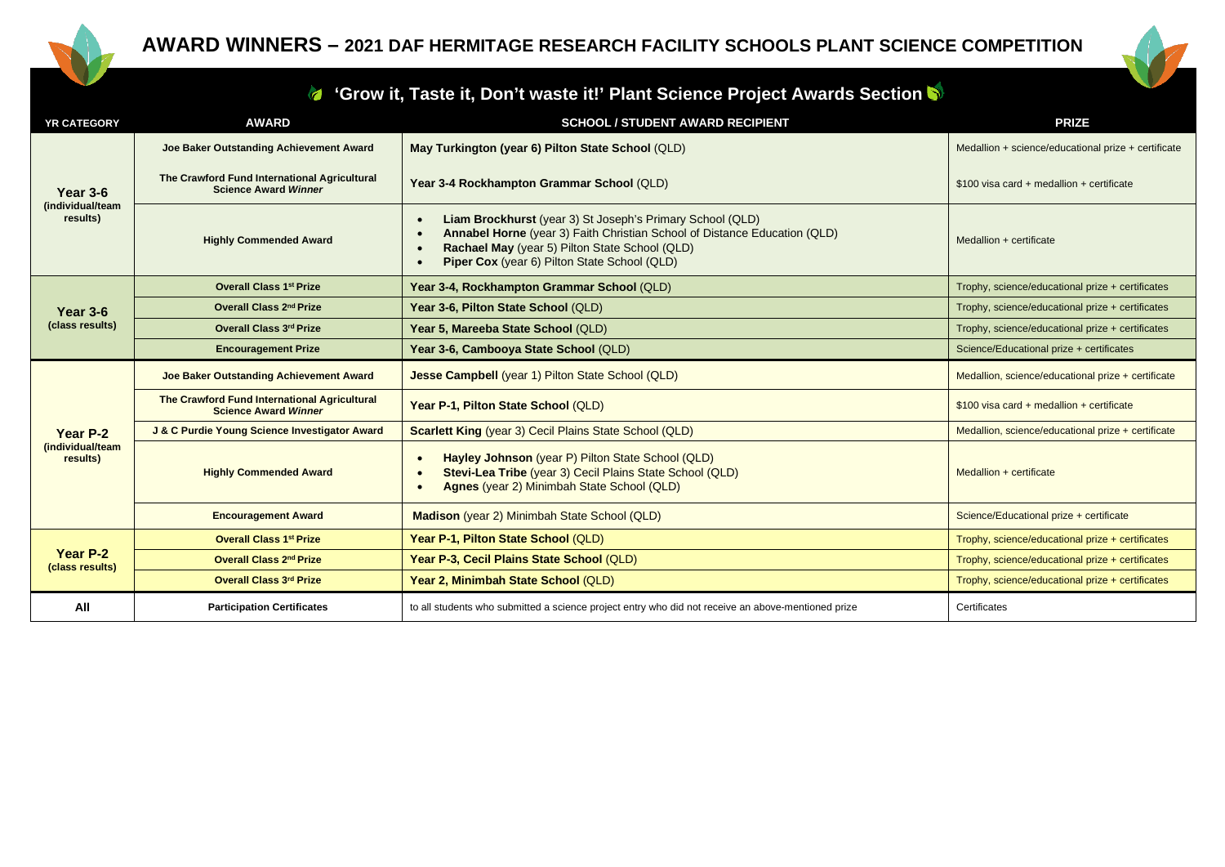



## **'Grow it, Taste it, Don't waste it!' Plant Science Project Awards Section**

| <b>YR CATEGORY</b>                              | <b>AWARD</b>                                                                | <b>SCHOOL / STUDENT AWARD RECIPIENT</b>                                                                                                                                                                                                  | <b>PRIZE</b>                                        |
|-------------------------------------------------|-----------------------------------------------------------------------------|------------------------------------------------------------------------------------------------------------------------------------------------------------------------------------------------------------------------------------------|-----------------------------------------------------|
| <b>Year 3-6</b><br>(individual/team<br>results) | Joe Baker Outstanding Achievement Award                                     | May Turkington (year 6) Pilton State School (QLD)                                                                                                                                                                                        | Medallion + science/educational prize + certificate |
|                                                 | The Crawford Fund International Agricultural<br><b>Science Award Winner</b> | Year 3-4 Rockhampton Grammar School (QLD)                                                                                                                                                                                                | $$100$ visa card + medallion + certificate          |
|                                                 | <b>Highly Commended Award</b>                                               | Liam Brockhurst (year 3) St Joseph's Primary School (QLD)<br>Annabel Horne (year 3) Faith Christian School of Distance Education (QLD)<br>Rachael May (year 5) Pilton State School (QLD)<br>Piper Cox (year 6) Pilton State School (QLD) | Medallion + certificate                             |
|                                                 | <b>Overall Class 1st Prize</b>                                              | Year 3-4, Rockhampton Grammar School (QLD)                                                                                                                                                                                               | Trophy, science/educational prize + certificates    |
| Year $3-6$                                      | Overall Class 2nd Prize                                                     | Year 3-6, Pilton State School (QLD)                                                                                                                                                                                                      | Trophy, science/educational prize + certificates    |
| (class results)                                 | Overall Class 3rd Prize                                                     | Year 5, Mareeba State School (QLD)                                                                                                                                                                                                       | Trophy, science/educational prize + certificates    |
|                                                 | <b>Encouragement Prize</b>                                                  | Year 3-6, Cambooya State School (QLD)                                                                                                                                                                                                    | Science/Educational prize + certificates            |
| Year P-2<br>(individual/team<br>results)        | Joe Baker Outstanding Achievement Award                                     | Jesse Campbell (year 1) Pilton State School (QLD)                                                                                                                                                                                        | Medallion, science/educational prize + certificate  |
|                                                 | The Crawford Fund International Agricultural<br><b>Science Award Winner</b> | Year P-1, Pilton State School (QLD)                                                                                                                                                                                                      | $$100$ visa card + medallion + certificate          |
|                                                 | J & C Purdie Young Science Investigator Award                               | <b>Scarlett King (year 3) Cecil Plains State School (QLD)</b>                                                                                                                                                                            | Medallion, science/educational prize + certificate  |
|                                                 | <b>Highly Commended Award</b>                                               | Hayley Johnson (year P) Pilton State School (QLD)<br>Stevi-Lea Tribe (year 3) Cecil Plains State School (QLD)<br>Agnes (year 2) Minimbah State School (QLD)                                                                              | Medallion + certificate                             |
|                                                 | <b>Encouragement Award</b>                                                  | Madison (year 2) Minimbah State School (QLD)                                                                                                                                                                                             | Science/Educational prize + certificate             |
| Year P-2<br>(class results)                     | <b>Overall Class 1st Prize</b>                                              | Year P-1, Pilton State School (QLD)                                                                                                                                                                                                      | Trophy, science/educational prize + certificates    |
|                                                 | Overall Class 2nd Prize                                                     | Year P-3, Cecil Plains State School (QLD)                                                                                                                                                                                                | Trophy, science/educational prize + certificates    |
|                                                 | Overall Class 3rd Prize                                                     | Year 2, Minimbah State School (QLD)                                                                                                                                                                                                      | Trophy, science/educational prize + certificates    |
| All                                             | <b>Participation Certificates</b>                                           | to all students who submitted a science project entry who did not receive an above-mentioned prize                                                                                                                                       | Certificates                                        |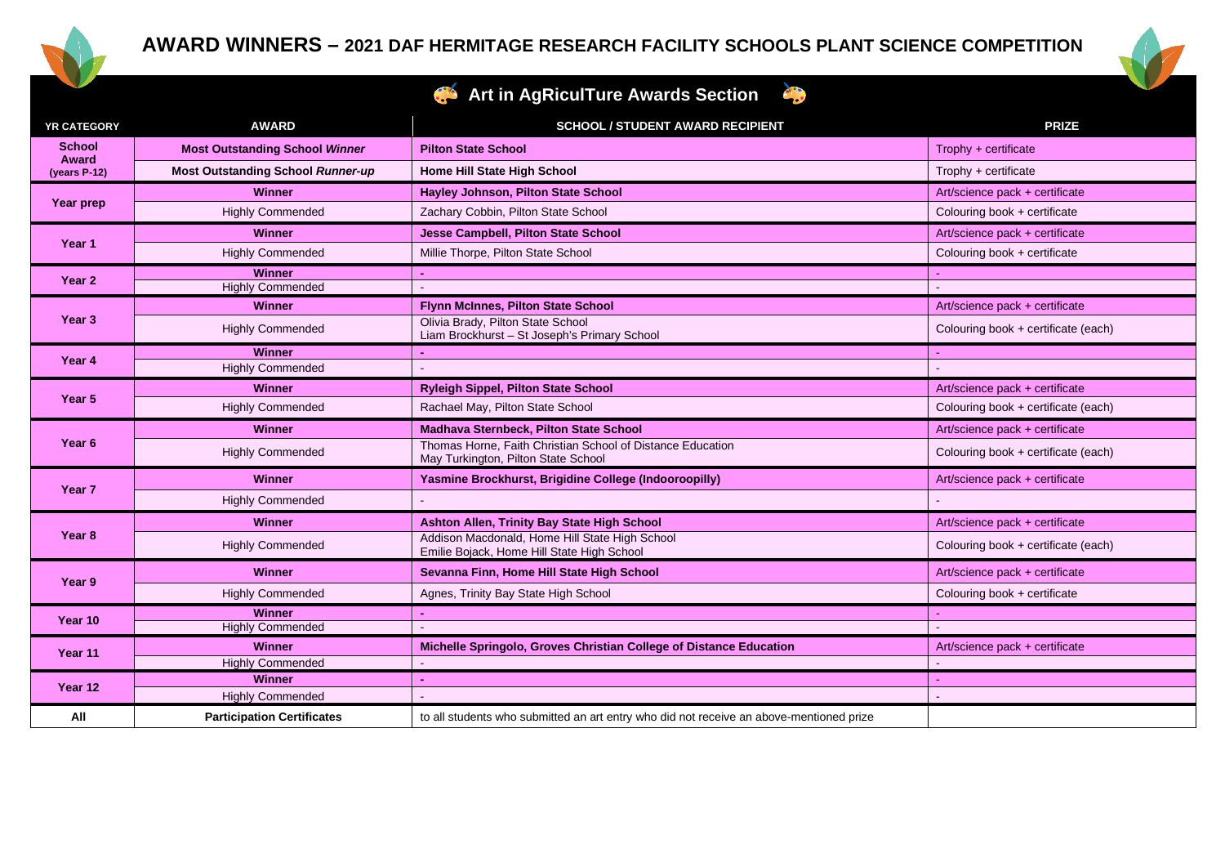



## **Art in AgRiculTure Awards Section**

| YR CATEGORY                            | <b>AWARD</b>                             | <b>SCHOOL / STUDENT AWARD RECIPIENT</b>                                                           | <b>PRIZE</b>                        |
|----------------------------------------|------------------------------------------|---------------------------------------------------------------------------------------------------|-------------------------------------|
| <b>School</b><br>Award<br>(years P-12) | <b>Most Outstanding School Winner</b>    | <b>Pilton State School</b>                                                                        | Trophy $+$ certificate              |
|                                        | <b>Most Outstanding School Runner-up</b> | Home Hill State High School                                                                       | Trophy + certificate                |
| Year prep                              | <b>Winner</b>                            | Hayley Johnson, Pilton State School                                                               | Art/science pack + certificate      |
|                                        | <b>Highly Commended</b>                  | Zachary Cobbin, Pilton State School                                                               | Colouring book + certificate        |
| Year 1                                 | <b>Winner</b>                            | Jesse Campbell, Pilton State School                                                               | Art/science pack + certificate      |
|                                        | <b>Highly Commended</b>                  | Millie Thorpe, Pilton State School                                                                | Colouring book + certificate        |
| Year 2                                 | Winner                                   |                                                                                                   |                                     |
|                                        | <b>Highly Commended</b>                  |                                                                                                   |                                     |
| Year 3                                 | <b>Winner</b>                            | <b>Flynn McInnes, Pilton State School</b>                                                         | Art/science pack + certificate      |
|                                        | <b>Highly Commended</b>                  | Olivia Brady, Pilton State School<br>Liam Brockhurst - St Joseph's Primary School                 | Colouring book + certificate (each) |
|                                        | <b>Winner</b>                            |                                                                                                   |                                     |
| Year 4                                 | <b>Highly Commended</b>                  |                                                                                                   |                                     |
| Year 5                                 | <b>Winner</b>                            | <b>Ryleigh Sippel, Pilton State School</b>                                                        | Art/science pack + certificate      |
|                                        | <b>Highly Commended</b>                  | Rachael May, Pilton State School                                                                  | Colouring book + certificate (each) |
|                                        | <b>Winner</b>                            | Madhava Sternbeck, Pilton State School                                                            | Art/science pack + certificate      |
| Year 6                                 | <b>Highly Commended</b>                  | Thomas Horne, Faith Christian School of Distance Education<br>May Turkington, Pilton State School | Colouring book + certificate (each) |
|                                        | <b>Winner</b>                            | Yasmine Brockhurst, Brigidine College (Indooroopilly)                                             | Art/science pack + certificate      |
| Year <sub>7</sub>                      | <b>Highly Commended</b>                  |                                                                                                   |                                     |
|                                        | <b>Winner</b>                            | Ashton Allen, Trinity Bay State High School                                                       | Art/science pack + certificate      |
| Year 8                                 | <b>Highly Commended</b>                  | Addison Macdonald, Home Hill State High School<br>Emilie Bojack, Home Hill State High School      | Colouring book + certificate (each) |
|                                        | Winner                                   | Sevanna Finn, Home Hill State High School                                                         | Art/science pack + certificate      |
| Year 9                                 | <b>Highly Commended</b>                  | Agnes, Trinity Bay State High School                                                              | Colouring book + certificate        |
|                                        | <b>Winner</b>                            |                                                                                                   |                                     |
| Year 10                                | <b>Highly Commended</b>                  |                                                                                                   |                                     |
| Year 11                                | Winner                                   | Michelle Springolo, Groves Christian College of Distance Education                                | Art/science pack + certificate      |
|                                        | <b>Highly Commended</b>                  |                                                                                                   |                                     |
| Year 12                                | <b>Winner</b>                            |                                                                                                   |                                     |
|                                        | <b>Highly Commended</b>                  |                                                                                                   |                                     |
| All                                    | <b>Participation Certificates</b>        | to all students who submitted an art entry who did not receive an above-mentioned prize           |                                     |